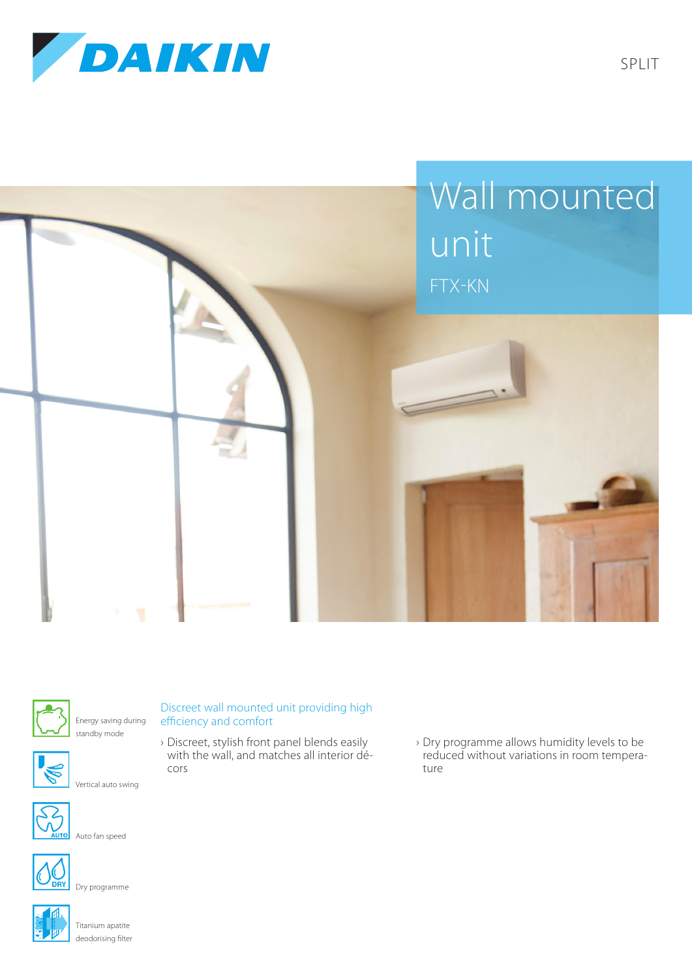





Energy saving during standby mode



Vertical auto swing



Auto fan speed



Dry programme



Titanium apatite deodorising filter

## Discreet wall mounted unit providing high efficiency and comfort

- › Discreet, stylish front panel blends easily with the wall, and matches all interior décors
- › Dry programme allows humidity levels to be reduced without variations in room temperature